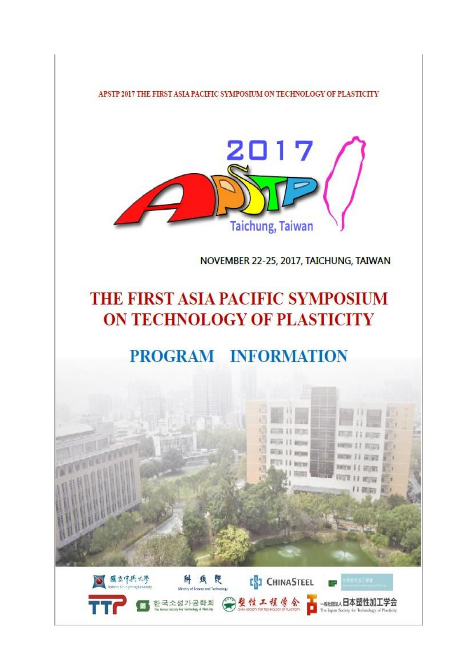APSTP 2017 THE FIRST ASIA PACIFIC SYMPOSIUM ON TECHNOLOGY OF PLASTICITY



NOVEMBER 22-25, 2017, TAICHUNG, TAIWAN

# THE FIRST ASIA PACIFIC SYMPOSIUM ON TECHNOLOGY OF PLASTICITY

# PROGRAM INFORMATION